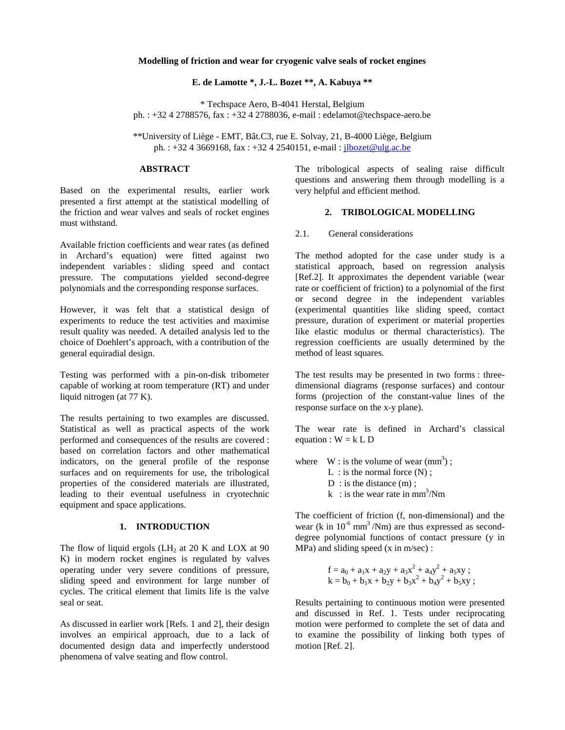## **Modelling of friction and wear for cryogenic valve seals of rocket engines**

### **E. de Lamotte \*, J.-L. Bozet \*\*, A. Kabuya \*\***

\* Techspace Aero, B-4041 Herstal, Belgium ph. : +32 4 2788576, fax : +32 4 2788036, e-mail : edelamot@techspace-aero.be

\*\*University of Liège - EMT, Bât.C3, rue E. Solvay, 21, B-4000 Liège, Belgium ph. : +32 4 3669168, fax : +32 4 2540151, e-mail : *jlbozet@ulg.ac.be* 

#### **ABSTRACT**

Based on the experimental results, earlier work presented a first attempt at the statistical modelling of the friction and wear valves and seals of rocket engines must withstand.

Available friction coefficients and wear rates (as defined in Archard's equation) were fitted against two independent variables : sliding speed and contact pressure. The computations yielded second-degree polynomials and the corresponding response surfaces.

However, it was felt that a statistical design of experiments to reduce the test activities and maximise result quality was needed. A detailed analysis led to the choice of Doehlert's approach, with a contribution of the general equiradial design.

Testing was performed with a pin-on-disk tribometer capable of working at room temperature (RT) and under liquid nitrogen (at 77 K).

The results pertaining to two examples are discussed. Statistical as well as practical aspects of the work performed and consequences of the results are covered : based on correlation factors and other mathematical indicators, on the general profile of the response surfaces and on requirements for use, the tribological properties of the considered materials are illustrated, leading to their eventual usefulness in cryotechnic equipment and space applications.

#### **1. INTRODUCTION**

The flow of liquid ergols  $(LH_2 \text{ at } 20 \text{ K and } LOX \text{ at } 90$ K) in modern rocket engines is regulated by valves operating under very severe conditions of pressure, sliding speed and environment for large number of cycles. The critical element that limits life is the valve seal or seat.

As discussed in earlier work [Refs. 1 and 2], their design involves an empirical approach, due to a lack of documented design data and imperfectly understood phenomena of valve seating and flow control.

The tribological aspects of sealing raise difficult questions and answering them through modelling is a very helpful and efficient method.

## **2. TRIBOLOGICAL MODELLING**

2.1. General considerations

The method adopted for the case under study is a statistical approach, based on regression analysis [Ref.2]. It approximates the dependent variable (wear rate or coefficient of friction) to a polynomial of the first or second degree in the independent variables (experimental quantities like sliding speed, contact pressure, duration of experiment or material properties like elastic modulus or thermal characteristics). The regression coefficients are usually determined by the method of least squares.

The test results may be presented in two forms : threedimensional diagrams (response surfaces) and contour forms (projection of the constant-value lines of the response surface on the x-y plane).

The wear rate is defined in Archard's classical equation :  $W = k L D$ 

where  $W :$  is the volume of wear (mm<sup>3</sup>);

- L : is the normal force  $(N)$ ;
- D : is the distance (m) ;
- k : is the wear rate in  $mm<sup>3</sup>/Nm$

The coefficient of friction (f, non-dimensional) and the wear (k in  $10^{-6}$  mm<sup>3</sup>/Nm) are thus expressed as seconddegree polynomial functions of contact pressure (y in MPa) and sliding speed (x in m/sec) :

$$
f = a_0 + a_1x + a_2y + a_3x^2 + a_4y^2 + a_5xy ;
$$
  
\n
$$
k = b_0 + b_1x + b_2y + b_3x^2 + b_4y^2 + b_5xy ;
$$

Results pertaining to continuous motion were presented and discussed in Ref. 1. Tests under reciprocating motion were performed to complete the set of data and to examine the possibility of linking both types of motion [Ref. 2].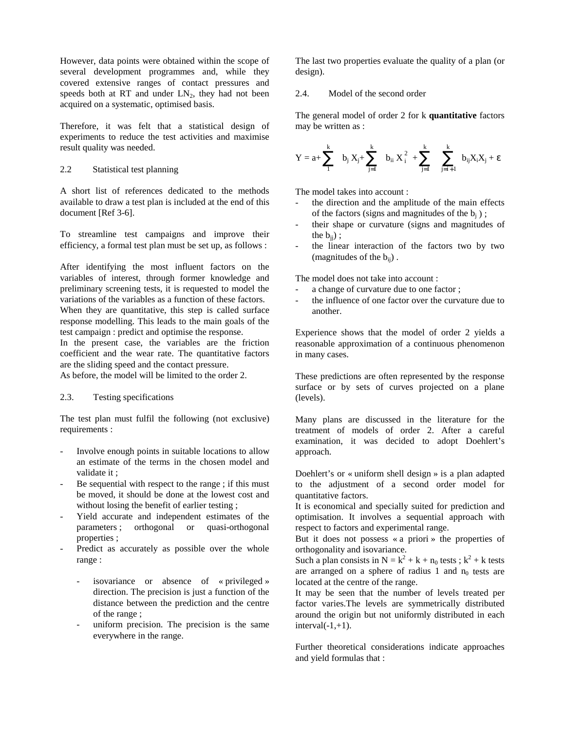However, data points were obtained within the scope of several development programmes and, while they covered extensive ranges of contact pressures and speeds both at RT and under  $LN<sub>2</sub>$ , they had not been acquired on a systematic, optimised basis.

Therefore, it was felt that a statistical design of experiments to reduce the test activities and maximise result quality was needed.

# 2.2 Statistical test planning

A short list of references dedicated to the methods available to draw a test plan is included at the end of this document [Ref 3-6].

To streamline test campaigns and improve their efficiency, a formal test plan must be set up, as follows :

After identifying the most influent factors on the variables of interest, through former knowledge and preliminary screening tests, it is requested to model the variations of the variables as a function of these factors. When they are quantitative, this step is called surface response modelling. This leads to the main goals of the

test campaign : predict and optimise the response.

In the present case, the variables are the friction coefficient and the wear rate. The quantitative factors are the sliding speed and the contact pressure.

As before, the model will be limited to the order 2.

# 2.3. Testing specifications

The test plan must fulfil the following (not exclusive) requirements :

- Involve enough points in suitable locations to allow an estimate of the terms in the chosen model and validate it ;
- Be sequential with respect to the range; if this must be moved, it should be done at the lowest cost and without losing the benefit of earlier testing ;
- Yield accurate and independent estimates of the parameters ; orthogonal or quasi-orthogonal properties ;
- Predict as accurately as possible over the whole range :
	- isovariance or absence of « privileged » direction. The precision is just a function of the distance between the prediction and the centre of the range ;
	- uniform precision. The precision is the same everywhere in the range.

The last two properties evaluate the quality of a plan (or design).

## 2.4. Model of the second order

The general model of order 2 for k **quantitative** factors may be written as :

$$
Y=a+\sum_1^k\quad b_j\;X_j+\sum_{j=1}^k\quad b_{ii}\;X_i^{\;2}\;+\sum_{j=1}^k\quad \sum_{j=i+1}^k\; \; b_{ij}X_iX_j+\epsilon
$$

The model takes into account :

- the direction and the amplitude of the main effects of the factors (signs and magnitudes of the  $b_i$ );
- their shape or curvature (signs and magnitudes of the  $b_{ii}$ );
- the linear interaction of the factors two by two (magnitudes of the  $b_{ii}$ ).

The model does not take into account :

- a change of curvature due to one factor ;
- the influence of one factor over the curvature due to another.

Experience shows that the model of order 2 yields a reasonable approximation of a continuous phenomenon in many cases.

These predictions are often represented by the response surface or by sets of curves projected on a plane (levels).

Many plans are discussed in the literature for the treatment of models of order 2. After a careful examination, it was decided to adopt Doehlert's approach.

Doehlert's or « uniform shell design » is a plan adapted to the adjustment of a second order model for quantitative factors.

It is economical and specially suited for prediction and optimisation. It involves a sequential approach with respect to factors and experimental range.

But it does not possess « a priori » the properties of orthogonality and isovariance.

Such a plan consists in  $N = k^2 + k + n_0$  tests;  $k^2 + k$  tests are arranged on a sphere of radius 1 and  $n_0$  tests are located at the centre of the range.

It may be seen that the number of levels treated per factor varies.The levels are symmetrically distributed around the origin but not uniformly distributed in each  $interval(-1,+1)$ .

Further theoretical considerations indicate approaches and yield formulas that :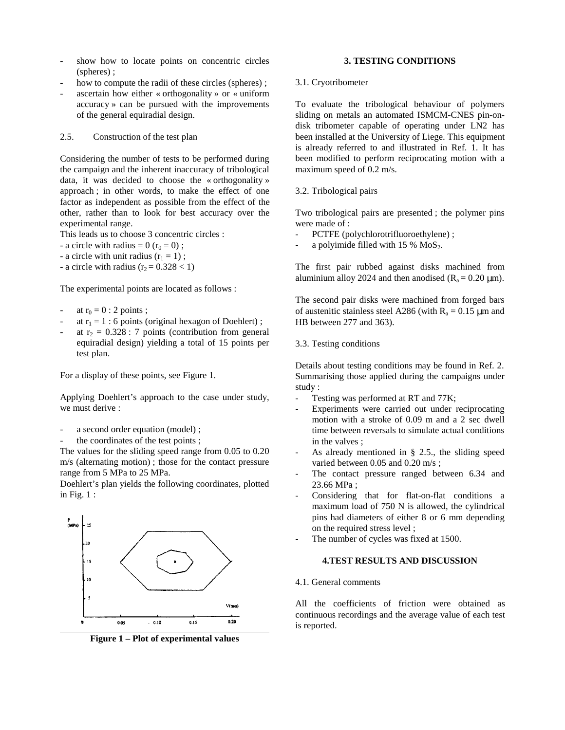- show how to locate points on concentric circles (spheres) ;
- how to compute the radii of these circles (spheres);
- ascertain how either « orthogonality » or « uniform accuracy » can be pursued with the improvements of the general equiradial design.

2.5. Construction of the test plan

Considering the number of tests to be performed during the campaign and the inherent inaccuracy of tribological data, it was decided to choose the « orthogonality » approach ; in other words, to make the effect of one factor as independent as possible from the effect of the other, rather than to look for best accuracy over the experimental range.

This leads us to choose 3 concentric circles :

- a circle with radius =  $0$  ( $r_0$  = 0);
- a circle with unit radius  $(r_1 = 1)$ ;
- a circle with radius  $(r_2 = 0.328 < 1)$

The experimental points are located as follows :

- at  $r_0 = 0$  : 2 points ;
- at  $r_1 = 1$ : 6 points (original hexagon of Doehlert);
- at  $r_2 = 0.328$ : 7 points (contribution from general equiradial design) yielding a total of 15 points per test plan.

For a display of these points, see Figure 1.

Applying Doehlert's approach to the case under study, we must derive :

- a second order equation (model);
- the coordinates of the test points;

The values for the sliding speed range from 0.05 to 0.20 m/s (alternating motion) ; those for the contact pressure range from 5 MPa to 25 MPa.

Doehlert's plan yields the following coordinates, plotted in Fig. 1 :



**Figure 1 – Plot of experimental values**

# **3. TESTING CONDITIONS**

3.1. Cryotribometer

To evaluate the tribological behaviour of polymers sliding on metals an automated ISMCM-CNES pin-ondisk tribometer capable of operating under LN2 has been installed at the University of Liege. This equipment is already referred to and illustrated in Ref. 1. It has been modified to perform reciprocating motion with a maximum speed of 0.2 m/s.

#### 3.2. Tribological pairs

Two tribological pairs are presented ; the polymer pins were made of :

- PCTFE (polychlorotrifluoroethylene) ;
- a polyimide filled with  $15\%$  MoS<sub>2</sub>.

The first pair rubbed against disks machined from aluminium alloy 2024 and then anodised  $(R_a = 0.20 \text{ }\mu\text{m})$ .

The second pair disks were machined from forged bars of austenitic stainless steel A286 (with  $R_a = 0.15 \mu m$  and HB between 277 and 363).

3.3. Testing conditions

Details about testing conditions may be found in Ref. 2. Summarising those applied during the campaigns under study :

- Testing was performed at RT and 77K;
- Experiments were carried out under reciprocating motion with a stroke of 0.09 m and a 2 sec dwell time between reversals to simulate actual conditions in the valves ;
- As already mentioned in  $\S$  2.5., the sliding speed varied between 0.05 and 0.20 m/s ;
- The contact pressure ranged between 6.34 and 23.66 MPa ;
- Considering that for flat-on-flat conditions a maximum load of 750 N is allowed, the cylindrical pins had diameters of either 8 or 6 mm depending on the required stress level ;
- The number of cycles was fixed at 1500.

## **4.TEST RESULTS AND DISCUSSION**

4.1. General comments

All the coefficients of friction were obtained as continuous recordings and the average value of each test is reported.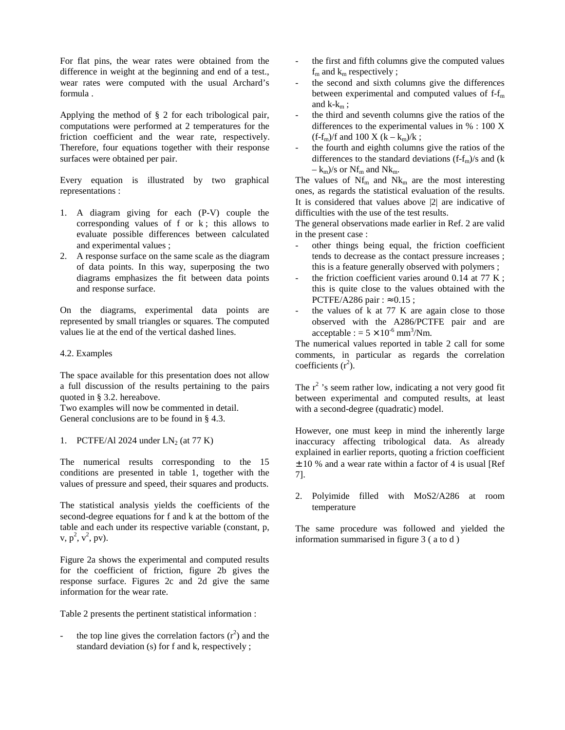For flat pins, the wear rates were obtained from the difference in weight at the beginning and end of a test., wear rates were computed with the usual Archard's formula .

Applying the method of § 2 for each tribological pair, computations were performed at 2 temperatures for the friction coefficient and the wear rate, respectively. Therefore, four equations together with their response surfaces were obtained per pair.

Every equation is illustrated by two graphical representations :

- 1. A diagram giving for each (P-V) couple the corresponding values of  $f$  or  $k$ ; this allows to evaluate possible differences between calculated and experimental values ;
- 2. A response surface on the same scale as the diagram of data points. In this way, superposing the two diagrams emphasizes the fit between data points and response surface.

On the diagrams, experimental data points are represented by small triangles or squares. The computed values lie at the end of the vertical dashed lines.

## 4.2. Examples

The space available for this presentation does not allow a full discussion of the results pertaining to the pairs quoted in § 3.2. hereabove.

Two examples will now be commented in detail. General conclusions are to be found in § 4.3.

1. PCTFE/Al 2024 under  $LN<sub>2</sub>$  (at 77 K)

The numerical results corresponding to the 15 conditions are presented in table 1, together with the values of pressure and speed, their squares and products.

The statistical analysis yields the coefficients of the second-degree equations for f and k at the bottom of the table and each under its respective variable (constant, p,  $v, p^2, v^2, pv$ ).

Figure 2a shows the experimental and computed results for the coefficient of friction, figure 2b gives the response surface. Figures 2c and 2d give the same information for the wear rate.

Table 2 presents the pertinent statistical information :

- the top line gives the correlation factors  $(r^2)$  and the standard deviation (s) for f and k, respectively ;

- the first and fifth columns give the computed values  $f_m$  and  $k_m$  respectively ;
- the second and sixth columns give the differences between experimental and computed values of  $f-f<sub>m</sub>$ and  $k-k<sub>m</sub>$ ;
- the third and seventh columns give the ratios of the differences to the experimental values in % : 100 X  $(f-f_m)/f$  and 100 X  $(k - k_m)/k$ ;
- the fourth and eighth columns give the ratios of the differences to the standard deviations  $(f-f<sub>m</sub>)/s$  and  $(k$  $-k_m$ /s or Nf<sub>m</sub> and Nk<sub>m</sub>.

The values of  $Nf_m$  and  $Nk_m$  are the most interesting ones, as regards the statistical evaluation of the results. It is considered that values above |2| are indicative of difficulties with the use of the test results.

The general observations made earlier in Ref. 2 are valid in the present case :

- other things being equal, the friction coefficient tends to decrease as the contact pressure increases ; this is a feature generally observed with polymers ;
- the friction coefficient varies around  $0.14$  at  $77$  K; this is quite close to the values obtained with the PCTFE/A286 pair :  $\approx 0.15$ ;
- the values of  $k$  at 77 K are again close to those observed with the A286/PCTFE pair and are  $acceptable := 5 \times 10^{-6}$  mm<sup>3</sup>/Nm.

The numerical values reported in table 2 call for some comments, in particular as regards the correlation coefficients  $(r^2)$ .

The  $r^2$ 's seem rather low, indicating a not very good fit between experimental and computed results, at least with a second-degree (quadratic) model.

However, one must keep in mind the inherently large inaccuracy affecting tribological data. As already explained in earlier reports, quoting a friction coefficient  $\pm$  10 % and a wear rate within a factor of 4 is usual [Ref 7].

2. Polyimide filled with MoS2/A286 at room temperature

The same procedure was followed and yielded the information summarised in figure 3 ( a to d )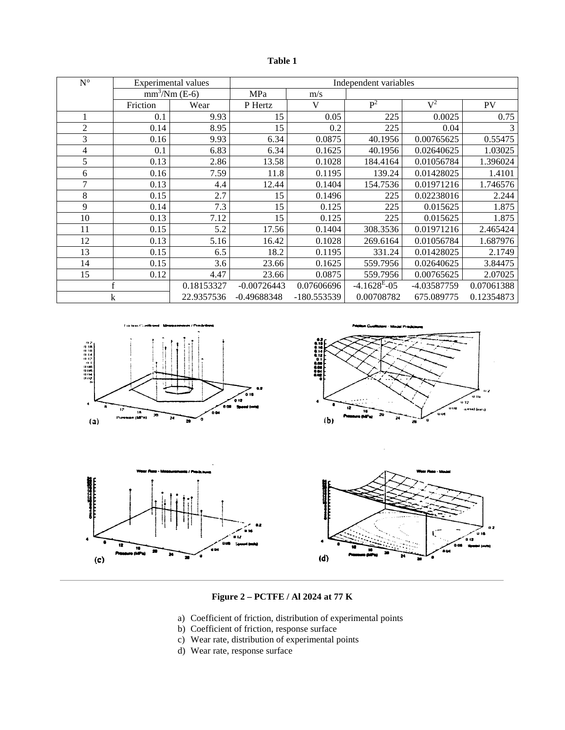| וחו |  |
|-----|--|
|-----|--|

| $\mathbf{N}^\circ$ |                                          | Experimental values | Independent variables |              |                  |                  |            |
|--------------------|------------------------------------------|---------------------|-----------------------|--------------|------------------|------------------|------------|
|                    | $\overline{\text{mm}^3/\text{Nm}}$ (E-6) |                     | MPa                   | m/s          |                  |                  |            |
|                    | Friction                                 | Wear                | P Hertz               | $\mathbf{V}$ | $\overline{P^2}$ | $\overline{V^2}$ | <b>PV</b>  |
| 1                  | 0.1                                      | 9.93                | 15                    | 0.05         | 225              | 0.0025           | 0.75       |
| $\overline{c}$     | 0.14                                     | 8.95                | 15                    | 0.2          | 225              | 0.04             | 3          |
| 3                  | 0.16                                     | 9.93                | 6.34                  | 0.0875       | 40.1956          | 0.00765625       | 0.55475    |
| 4                  | 0.1                                      | 6.83                | 6.34                  | 0.1625       | 40.1956          | 0.02640625       | 1.03025    |
| 5                  | 0.13                                     | 2.86                | 13.58                 | 0.1028       | 184.4164         | 0.01056784       | 1.396024   |
| 6                  | 0.16                                     | 7.59                | 11.8                  | 0.1195       | 139.24           | 0.01428025       | 1.4101     |
| 7                  | 0.13                                     | 4.4                 | 12.44                 | 0.1404       | 154.7536         | 0.01971216       | 1.746576   |
| 8                  | 0.15                                     | 2.7                 | 15                    | 0.1496       | 225              | 0.02238016       | 2.244      |
| 9                  | 0.14                                     | 7.3                 | 15                    | 0.125        | 225              | 0.015625         | 1.875      |
| 10                 | 0.13                                     | 7.12                | 15                    | 0.125        | 225              | 0.015625         | 1.875      |
| 11                 | 0.15                                     | 5.2                 | 17.56                 | 0.1404       | 308.3536         | 0.01971216       | 2.465424   |
| 12                 | 0.13                                     | 5.16                | 16.42                 | 0.1028       | 269.6164         | 0.01056784       | 1.687976   |
| 13                 | 0.15                                     | 6.5                 | 18.2                  | 0.1195       | 331.24           | 0.01428025       | 2.1749     |
| 14                 | 0.15                                     | 3.6                 | 23.66                 | 0.1625       | 559.7956         | 0.02640625       | 3.84475    |
| 15                 | 0.12                                     | 4.47                | 23.66                 | 0.0875       | 559.7956         | 0.00765625       | 2.07025    |
| f                  |                                          | 0.18153327          | $-0.00726443$         | 0.07606696   | $-4.1628^{E}-05$ | -4.03587759      | 0.07061388 |
|                    | k                                        | 22.9357536          | $-0.49688348$         | -180.553539  | 0.00708782       | 675.089775       | 0.12354873 |









# **Figure 2 – PCTFE / Al 2024 at 77 K**

- a) Coefficient of friction, distribution of experimental points
- b) Coefficient of friction, response surface
- c) Wear rate, distribution of experimental points
- d) Wear rate, response surface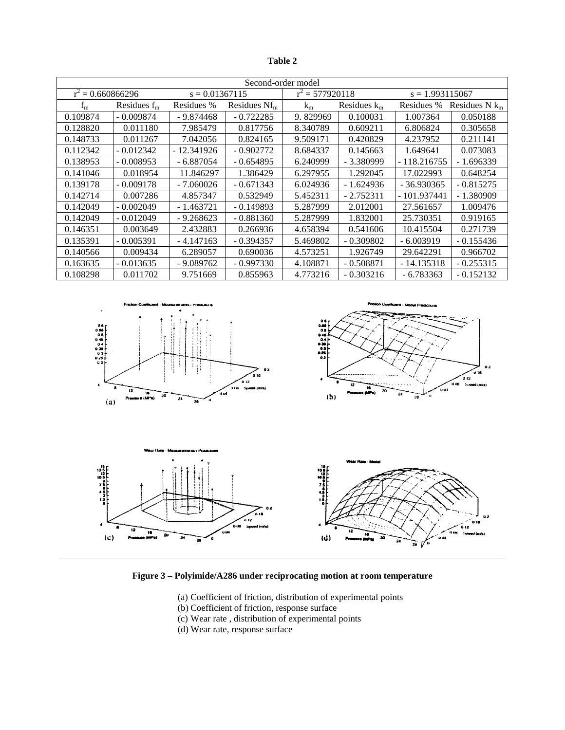**Table 2**

| Second-order model  |                |                  |                 |                   |                |                   |                  |  |  |
|---------------------|----------------|------------------|-----------------|-------------------|----------------|-------------------|------------------|--|--|
| $r^2 = 0.660866296$ |                | $s = 0.01367115$ |                 | $r^2 = 577920118$ |                | $s = 1.993115067$ |                  |  |  |
| $f_{m}$             | Residues $f_m$ | Residues %       | Residues $Nf_m$ | $k_{m}$           | Residues $k_m$ | Residues %        | Residues $N k_m$ |  |  |
| 0.109874            | $-0.009874$    | $-9.874468$      | $-0.722285$     | 9.829969          | 0.100031       | 1.007364          | 0.050188         |  |  |
| 0.128820            | 0.011180       | 7.985479         | 0.817756        | 8.340789          | 0.609211       | 6.806824          | 0.305658         |  |  |
| 0.148733            | 0.011267       | 7.042056         | 0.824165        | 9.509171          | 0.420829       | 4.237952          | 0.211141         |  |  |
| 0.112342            | $-0.012342$    | $-12.341926$     | $-0.902772$     | 8.684337          | 0.145663       | 1.649641          | 0.073083         |  |  |
| 0.138953            | $-0.008953$    | $-6.887054$      | $-0.654895$     | 6.240999          | $-3.380999$    | $-118.216755$     | $-1.696339$      |  |  |
| 0.141046            | 0.018954       | 11.846297        | 1.386429        | 6.297955          | 1.292045       | 17.022993         | 0.648254         |  |  |
| 0.139178            | $-0.009178$    | $-7.060026$      | $-0.671343$     | 6.024936          | $-1.624936$    | $-36.930365$      | $-0.815275$      |  |  |
| 0.142714            | 0.007286       | 4.857347         | 0.532949        | 5.452311          | $-2.752311$    | - 101.937441      | $-1.380909$      |  |  |
| 0.142049            | $-0.002049$    | $-1.463721$      | $-0.149893$     | 5.287999          | 2.012001       | 27.561657         | 1.009476         |  |  |
| 0.142049            | $-0.012049$    | $-9.268623$      | $-0.881360$     | 5.287999          | 1.832001       | 25.730351         | 0.919165         |  |  |
| 0.146351            | 0.003649       | 2.432883         | 0.266936        | 4.658394          | 0.541606       | 10.415504         | 0.271739         |  |  |
| 0.135391            | $-0.005391$    | $-4.147163$      | $-0.394357$     | 5.469802          | $-0.309802$    | $-6.003919$       | $-0.155436$      |  |  |
| 0.140566            | 0.009434       | 6.289057         | 0.690036        | 4.573251          | 1.926749       | 29.642291         | 0.966702         |  |  |
| 0.163635            | $-0.013635$    | $-9.089762$      | $-0.997330$     | 4.108871          | $-0.508871$    | - 14.135318       | $-0.255315$      |  |  |
| 0.108298            | 0.011702       | 9.751669         | 0.855963        | 4.773216          | $-0.303216$    | - 6.783363        | $-0.152132$      |  |  |



**Figure 3 – Polyimide/A286 under reciprocating motion at room temperature**

- (a) Coefficient of friction, distribution of experimental points
- (b) Coefficient of friction, response surface
- (c) Wear rate , distribution of experimental points
- (d) Wear rate, response surface